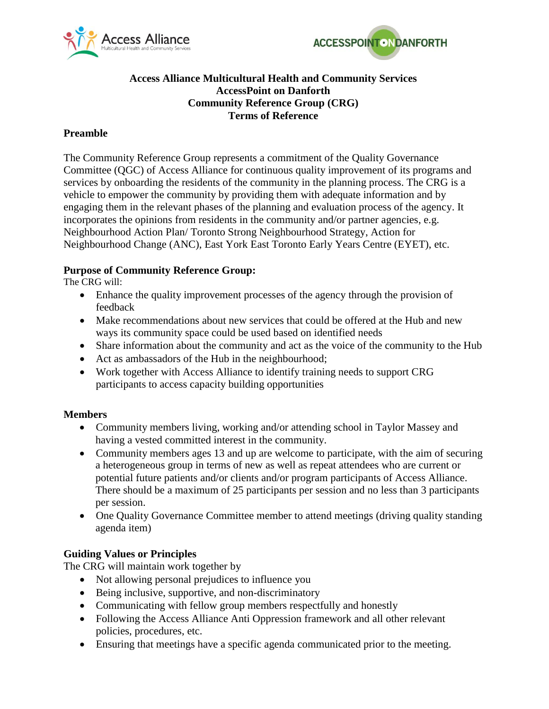



# **Access Alliance Multicultural Health and Community Services AccessPoint on Danforth Community Reference Group (CRG) Terms of Reference**

# **Preamble**

The Community Reference Group represents a commitment of the Quality Governance Committee (QGC) of Access Alliance for continuous quality improvement of its programs and services by onboarding the residents of the community in the planning process. The CRG is a vehicle to empower the community by providing them with adequate information and by engaging them in the relevant phases of the planning and evaluation process of the agency. It incorporates the opinions from residents in the community and/or partner agencies, e.g. Neighbourhood Action Plan/ Toronto Strong Neighbourhood Strategy, Action for Neighbourhood Change (ANC), East York East Toronto Early Years Centre (EYET), etc.

# **Purpose of Community Reference Group:**

The CRG will:

- Enhance the quality improvement processes of the agency through the provision of feedback
- Make recommendations about new services that could be offered at the Hub and new ways its community space could be used based on identified needs
- Share information about the community and act as the voice of the community to the Hub
- Act as ambassadors of the Hub in the neighbourhood;
- Work together with Access Alliance to identify training needs to support CRG participants to access capacity building opportunities

# **Members**

- Community members living, working and/or attending school in Taylor Massey and having a vested committed interest in the community.
- Community members ages 13 and up are welcome to participate, with the aim of securing a heterogeneous group in terms of new as well as repeat attendees who are current or potential future patients and/or clients and/or program participants of Access Alliance. There should be a maximum of 25 participants per session and no less than 3 participants per session.
- One Quality Governance Committee member to attend meetings (driving quality standing agenda item)

# **Guiding Values or Principles**

The CRG will maintain work together by

- Not allowing personal prejudices to influence you
- Being inclusive, supportive, and non-discriminatory
- Communicating with fellow group members respectfully and honestly
- Following the Access Alliance Anti Oppression framework and all other relevant policies, procedures, etc.
- Ensuring that meetings have a specific agenda communicated prior to the meeting.